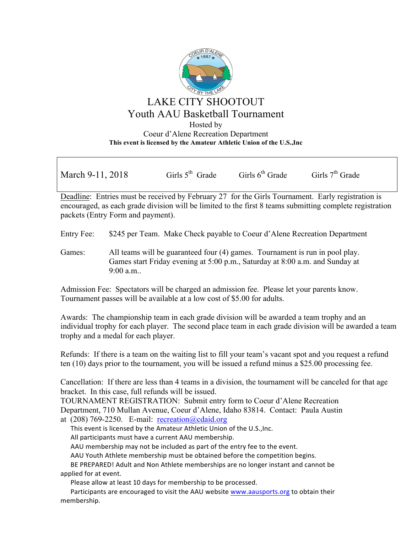

March 9-11, 2018 Girls 5<sup>th</sup> Grade Girls 6<sup>th</sup> Grade Girls 7<sup>th</sup> Grade

Deadline: Entries must be received by February 27 for the Girls Tournament. Early registration is encouraged, as each grade division will be limited to the first 8 teams submitting complete registration packets (Entry Form and payment).

Entry Fee: \$245 per Team. Make Check payable to Coeur d'Alene Recreation Department

Games: All teams will be guaranteed four (4) games. Tournament is run in pool play. Games start Friday evening at 5:00 p.m., Saturday at 8:00 a.m. and Sunday at 9:00 a.m..

Admission Fee: Spectators will be charged an admission fee. Please let your parents know. Tournament passes will be available at a low cost of \$5.00 for adults.

Awards: The championship team in each grade division will be awarded a team trophy and an individual trophy for each player. The second place team in each grade division will be awarded a team trophy and a medal for each player.

Refunds: If there is a team on the waiting list to fill your team's vacant spot and you request a refund ten (10) days prior to the tournament, you will be issued a refund minus a \$25.00 processing fee.

Cancellation: If there are less than 4 teams in a division, the tournament will be canceled for that age bracket. In this case, full refunds will be issued.

TOURNAMENT REGISTRATION: Submit entry form to Coeur d'Alene Recreation Department, 710 Mullan Avenue, Coeur d'Alene, Idaho 83814. Contact: Paula Austin at  $(208)$  769-2250. E-mail: recreation (a) cdaid.org

This event is licensed by the Amateur Athletic Union of the U.S., Inc.

All participants must have a current AAU membership.

AAU membership may not be included as part of the entry fee to the event.

AAU Youth Athlete membership must be obtained before the competition begins.

BE PREPARED! Adult and Non Athlete memberships are no longer instant and cannot be applied for at event.

Please allow at least 10 days for membership to be processed.

Participants are encouraged to visit the AAU website www.aausports.org to obtain their membership.